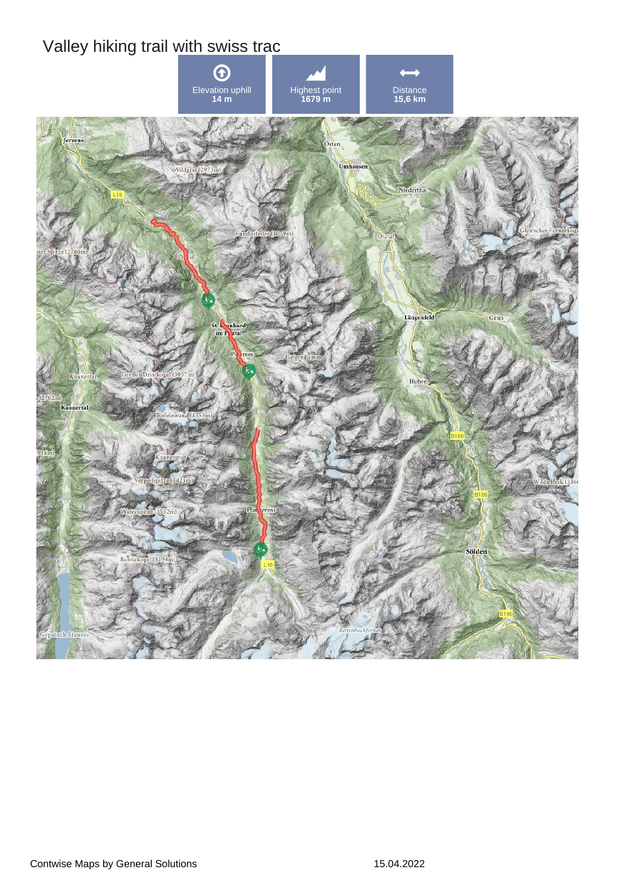## Valley hiking trail with swiss trac

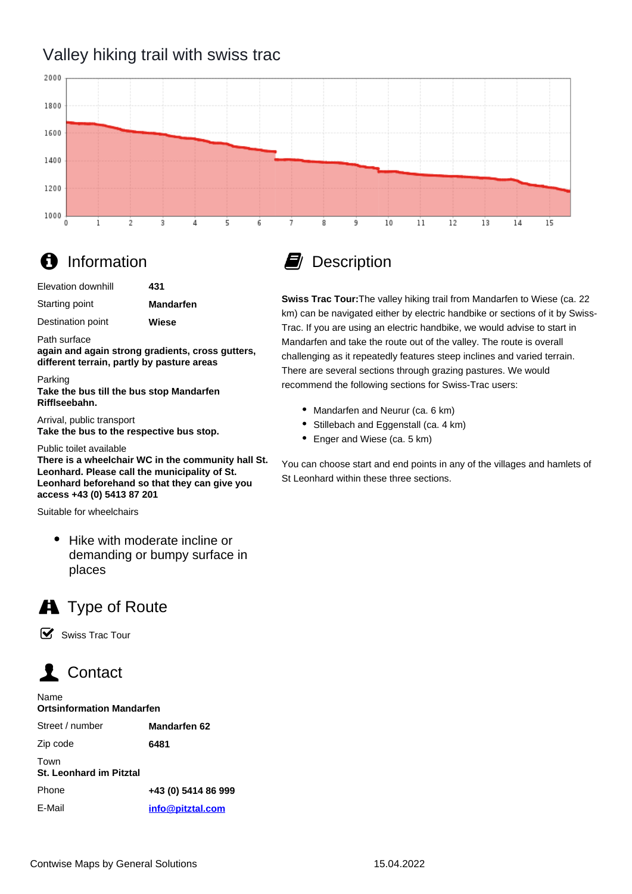## Valley hiking trail with swiss trac



## **f** Information

| Elevation downhill | 431 |
|--------------------|-----|
|                    |     |

Starting point **Mandarfen**

Destination point

Path surface

**again and again strong gradients, cross gutters, different terrain, partly by pasture areas**

**Wiese**

Parking

**Take the bus till the bus stop Mandarfen Rifflseebahn.**

Arrival, public transport **Take the bus to the respective bus stop.**

Public toilet available

**There is a wheelchair WC in the community hall St. Leonhard. Please call the municipality of St. Leonhard beforehand so that they can give you access +43 (0) 5413 87 201**

Suitable for wheelchairs

• Hike with moderate incline or demanding or bumpy surface in places



☑ Swiss Trac Tour



E-Mail

| Name<br><b>Ortsinformation Mandarfen</b> |                     |
|------------------------------------------|---------------------|
| Street / number                          | <b>Mandarfen 62</b> |
| Zip code                                 | 6481                |
| Town<br><b>St. Leonhard im Pitztal</b>   |                     |
| Phone                                    | +43 (0) 5414 86 999 |

**[info@pitztal.com](mailto:info@pitztal.com)**



**Swiss Trac Tour:**The valley hiking trail from Mandarfen to Wiese (ca. 22 km) can be navigated either by electric handbike or sections of it by Swiss-Trac. If you are using an electric handbike, we would advise to start in Mandarfen and take the route out of the valley. The route is overall challenging as it repeatedly features steep inclines and varied terrain. There are several sections through grazing pastures. We would recommend the following sections for Swiss-Trac users:

- Mandarfen and Neurur (ca. 6 km)
- Stillebach and Eggenstall (ca. 4 km)
- Enger and Wiese (ca. 5 km)

You can choose start and end points in any of the villages and hamlets of St Leonhard within these three sections.